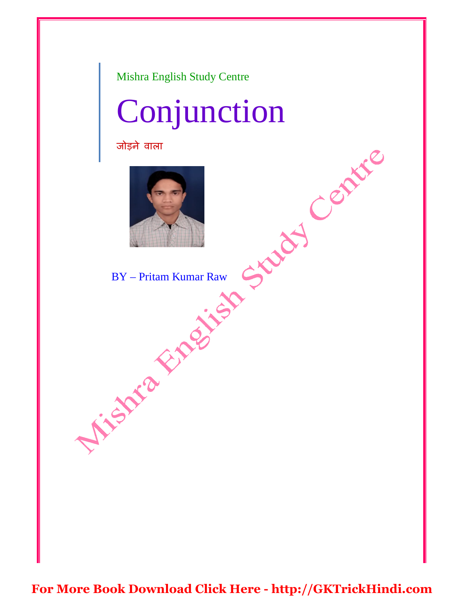Mishra English Study Centre

# Conjunction

जोड़ने वाला



BY – Pritam Kumar Raw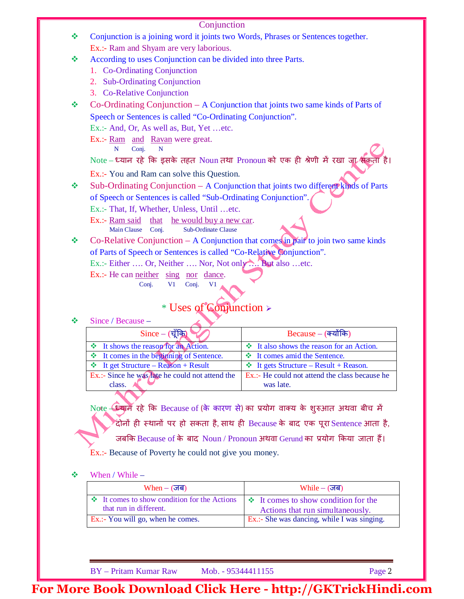Conjunction is a joining word it joints two Words, Phrases or Sentences together. Ex.:- Ram and Shyam are very laborious.

\* According to uses Conjunction can be divided into three Parts.

- 1. Co-Ordinating Conjunction
- 2. Sub-Ordinating Conjunction
- 3. Co-Relative Conjunction
- $\bullet$  Co-Ordinating Conjunction A Conjunction that joints two same kinds of Parts of Speech or Sentences is called "Co-Ordinating Conjunction".

Ex.:- And, Or, As well as, But, Yet …etc.

Ex.:- Ram and Ravan were great.

N Conj. N

Note – ध्यान रहे कि इसके तहत Noun तथा Pronoun को एक ही श्रेणी में रखा जा सकता

Ex.:- You and Ram can solve this Question.

 $\bullet$  Sub-Ordinating Conjunction – A Conjunction that joints two different kinds of Parts of Speech or Sentences is called "Sub-Ordinating Conjunction". Ex.:- That, If, Whether, Unless, Until …etc.

Ex.:- Ram said that he would buy a new car.

Main Clause Conj. Sub-Ordinate Clause

 $\bullet$  Co-Relative Conjunction – A Conjunction that comes in pair to join two same kinds of Parts of Speech or Sentences is called "Co-Relative Conjunction".

Ex.:- Either .... Or, Neither .... Nor, Not only .... But also ... etc.

Ex.:- He can neither sing nor dance.

Conj. V1 Conj. V1

### \* Uses of Conjunction

#### $\div$  Since / Because –

| $Since -(\vec{q}$ क्रि                           | $Because - (a$ योंकि                            |
|--------------------------------------------------|-------------------------------------------------|
| <b>Example 1</b> shows the reason for an Action. | $\cdot$ It also shows the reason for an Action. |
| It comes in the beginning of Sentence.           | ❖ It comes amid the Sentence.                   |
| $\div$ It get Structure – Reason + Result        | $\div$ It gets Structure – Result + Reason.     |
| Ex.:- Since he was late he could not attend the  | Ex.:- He could not attend the class because he  |
| class.                                           | was late.                                       |
|                                                  |                                                 |

Note – आर्म रहे कि Because of (के कारण से) का प्रयोग वाक्य के शुरुआत अथवा बीच में ँदोनों ही स्थानों पर हो सकता है, साथ ही Because के बाद एक पूरा $\,$ Sentence आता है, जबकि Because of के बाद Noun / Pronoun अथवा Gerund का प्रयोग किया जाता हैं। Ex.:- Because of Poverty he could not give you money.

#### When / While –

| $When - ($ जब)                                                                                                                                | $While - (35)$                              |
|-----------------------------------------------------------------------------------------------------------------------------------------------|---------------------------------------------|
| $\mathbf{\hat{\div}}$ It comes to show condition for the Actions $\mathbf{\div}$ It comes to show condition for the<br>that run in different. | Actions that run simultaneously.            |
| Ex.:- You will go, when he comes.                                                                                                             | Ex.:- She was dancing, while I was singing. |

BY – Pritam Kumar Raw Mob. - 95344411155 Page 2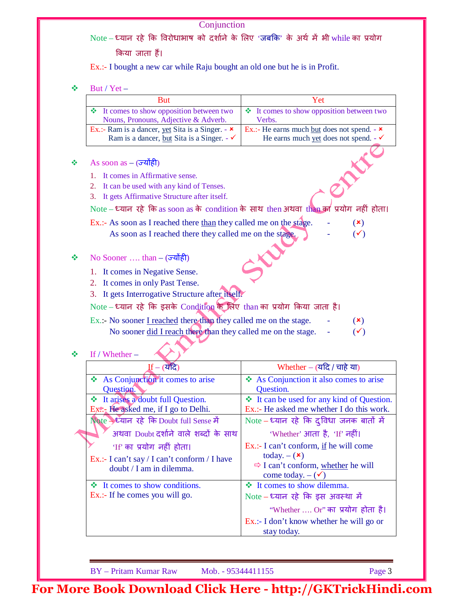Note – ध्यान रहे कि विरोधाभाष को दर्शाने के लिए 'जबकि' के अर्थ में भी while का प्रयोग

किया जाता हैं।

Ex.:- I bought a new car while Raju bought an old one but he is in Profit.

 $\div$  But / Yet

|   | $D$ ul / $I$ el –                                                                                                                                                                                                                                                                |                                                                                                              |
|---|----------------------------------------------------------------------------------------------------------------------------------------------------------------------------------------------------------------------------------------------------------------------------------|--------------------------------------------------------------------------------------------------------------|
|   | <b>But</b>                                                                                                                                                                                                                                                                       | Yet                                                                                                          |
|   | It comes to show opposition between two<br>❖                                                                                                                                                                                                                                     | It comes to show opposition between two<br>❖                                                                 |
|   | Nouns, Pronouns, Adjective & Adverb.                                                                                                                                                                                                                                             | Verbs.                                                                                                       |
|   | Ex.:- Ram is a dancer, yet Sita is a Singer. - $\star$<br>Ram is a dancer, but Sita is a Singer. - $\checkmark$                                                                                                                                                                  | Ex.:- He earns much <u>but</u> does not spend. - $\star$<br>He earns much yet does not spend. - $\checkmark$ |
| ٠ | As soon as $ (\overrightarrow{\sigma}$ योही<br>It comes in Affirmative sense.<br>It can be used with any kind of Tenses.<br>2.<br>It gets Affirmative Structure after itself.<br>3.<br>Note – ध्यान रहे कि as soon as के condition के साथ then अथवा than का प्रयोग नहीं होता।    |                                                                                                              |
|   | Ex.:- As soon as I reached there than they called me on the stage.<br>As soon as I reached there they called me on the stage.                                                                                                                                                    | $(\mathbf{x})$<br>$(\checkmark)$                                                                             |
| ❖ | No Sooner  than – $(\overrightarrow{\sigma 2} \cdot \overrightarrow{\sigma})$<br>1. It comes in Negative Sense.<br>2. It comes in only Past Tense.<br>3. It gets Interrogative Structure after itself.<br>Note – ध्यान रहे कि इसके Condition के लिए than का प्रयोग किया जाता है। |                                                                                                              |
|   | Ex.:- No sooner I reached there than they called me on the stage.                                                                                                                                                                                                                | $(\mathbf{x})$                                                                                               |
|   | No sooner did I reach there than they called me on the stage.<br>If / Whether $-$                                                                                                                                                                                                | $(\checkmark)$                                                                                               |
| ❖ | T₽                                                                                                                                                                                                                                                                               | $W_{\text{back}}$ $\sim$ $W_{\text{max}}$                                                                    |

| $If - (2)$                                   | Whether – $(\overline{u}$ (चाहे या)            |
|----------------------------------------------|------------------------------------------------|
| As Conjunction it comes to arise             | ❖ As Conjunction it also comes to arise        |
| Question.                                    | Question.                                      |
| ❖ It arises a doubt full Question.           | ❖ It can be used for any kind of Question.     |
| $Ex\$ : He asked me, if I go to Delhi.       | Ex.:- He asked me whether I do this work.      |
| Note > ध्यान रहे कि Doubt full Sense में     | Note – ध्यान रहे कि दुविधा जनक बातों में       |
| अथवा Doubt दर्शाने वाले शब्दों के साथ        | 'Whether' आता है, 'If' नहीं।                   |
| 'If' का प्रयोग नहीं होता।                    | Ex.:- I can't conform, if he will come         |
| Ex.:- I can't say / I can't conform / I have | today. $-$ ( $\star$ )                         |
| doubt / I am in dilemma.                     | $\Rightarrow$ I can't conform, whether he will |
|                                              | come today. $-(\checkmark)$                    |
| $\cdot$ It comes to show conditions.         | ❖ It comes to show dilemma.                    |
| Ex.:- If he comes you will go.               | Note – ध्यान रहे कि इस अवस्था में              |
|                                              | "Whether  Or" का प्रयोग होता है।               |
|                                              | $Ex.:$ I don't know whether he will go or      |
|                                              | stay today.                                    |

BY – Pritam Kumar Raw Mob. - 95344411155 Page 3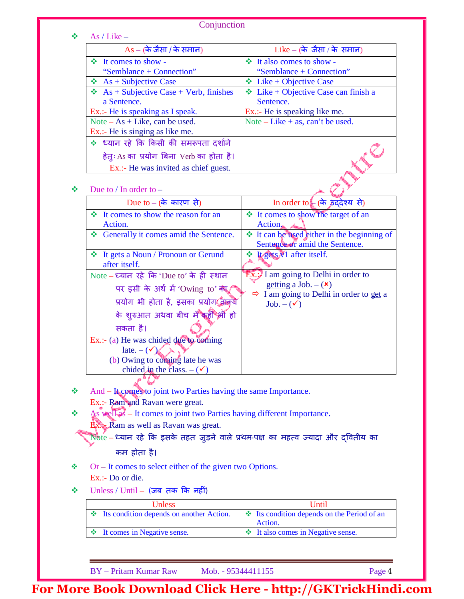|   | Conjunction                                                                      |                                                                               |
|---|----------------------------------------------------------------------------------|-------------------------------------------------------------------------------|
| ÷ | As / Like $-$                                                                    |                                                                               |
|   | $As - ($ के जैसा / के समान)                                                      | Like – (के जैसा / के समान)                                                    |
|   | $\cdot \cdot$ It comes to show -                                                 | ❖ It also comes to show -                                                     |
|   | "Semblance + Connection"                                                         | "Semblance + Connection"                                                      |
|   | $\triangleleft$ As + Subjective Case                                             | $\triangleleft$ Like + Objective Case                                         |
|   | $\triangleleft$ As + Subjective Case + Verb, finishes                            | $\triangleleft$ Like + Objective Case can finish a                            |
|   | a Sentence.                                                                      | Sentence.                                                                     |
|   | Ex.:- He is speaking as I speak.                                                 | Ex.:- He is speaking like me.                                                 |
|   | Note $- As + Like$ , can be used.                                                | Note – Like + as, can't be used.                                              |
|   | Ex.:- He is singing as like me.                                                  |                                                                               |
|   | * ध्यान रहे कि किसी की समरूपता दर्शाने                                           |                                                                               |
|   | हेतुः As का प्रयोग बिना Verb का होता है।                                         |                                                                               |
|   | Ex.:- He was invited as chief guest.                                             |                                                                               |
| ÷ | Due to $/$ In order to $-$                                                       |                                                                               |
|   | Due to – (के कारण से)                                                            | In order to $\leftarrow$ (के इंददेश्य से)                                     |
|   | It comes to show the reason for an<br>÷.<br>Action.                              | ❖ It comes to show the target of an<br>$Action_{\bullet}$                     |
|   | Generally it comes amid the Sentence.                                            | ❖ It can be used either in the beginning of<br>Sentence or amid the Sentence. |
|   | ❖ It gets a Noun / Pronoun or Gerund<br>after itself.                            | ❖ Lygets N1 after itself.                                                     |
|   | Note – ध्यान रहे कि 'Due to' के ही स्थान                                         | $Ex.$ : I am going to Delhi in order to                                       |
|   | पर इसी के अर्थ में 'Owing to' का                                                 | getting a Job. $-$ ( $\star$ )                                                |
|   |                                                                                  | $\Rightarrow$ I am going to Delhi in order to get a                           |
|   | प्रयोग भी होता है, इसका प्रयोग बिल्ये                                            | $Job. - (\checkmark)$                                                         |
|   | के शुरुआत अथवा बीच में कहीं भी हो                                                |                                                                               |
|   | सकता है।                                                                         |                                                                               |
|   | Ex.:- (a) He was chided due to coming                                            |                                                                               |
|   | late. $-(\sqrt{\mathcal{K}})$                                                    |                                                                               |
|   | (b) Owing to coming late he was                                                  |                                                                               |
|   | chided in the class. $-(\checkmark)$                                             |                                                                               |
|   |                                                                                  |                                                                               |
| ❖ | And – It comes to joint two Parties having the same Importance.                  |                                                                               |
|   | Ex.:- Ram and Ravan were great.                                                  |                                                                               |
| ❖ | As well as - It comes to joint two Parties having different Importance.          |                                                                               |
|   | <b>Ex.</b> Ram as well as Ravan was great.                                       |                                                                               |
|   | Note – ध्यान रहे कि इसके तहत जुड़ने वाले प्रथम-पक्ष का महत्व ज्यादा और दवितीय का |                                                                               |
|   | कम होता है।                                                                      |                                                                               |
| ❖ | $Or - It comes to select either of the given two Options.$                       |                                                                               |
|   | Ex.:- Do or die.                                                                 |                                                                               |
| ❖ | $Unless / Until - ( जब तक कि नहीं)$                                              |                                                                               |
|   | Unless                                                                           | Until                                                                         |
|   | Its condition depends on another Action.<br>❖                                    | Its condition depends on the Period of an<br>豪。<br>Action.                    |
|   | It comes in Negative sense.<br>❖                                                 | ❖ It also comes in Negative sense.                                            |
|   |                                                                                  |                                                                               |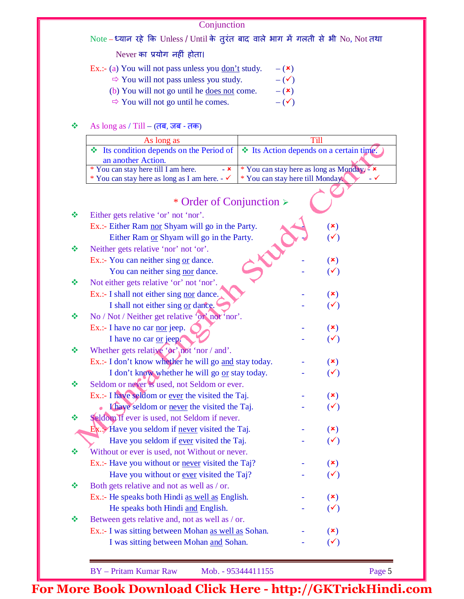Note – ध्यान रहे कि Unless / Until के तुरंत बाद वाले भाग में गलती से भी No, Not तथा

Never का प्रयोग नहीं होता।

Ex.:- (a) You will not pass unless you <u>don't</u> study.  $-(\star)$ 

- $\Rightarrow$  You will not pass unless you study.  $-(\checkmark)$
- (b) You will not go until he <u>does not</u> come.  $-$  (**\***)
- $\Rightarrow$  You will not go until he comes.  $-$  ( $\checkmark$ )

#### $\clubsuit$  As long as / Till – (तब, जब - तक)

| As long as                                                                                         |                                       |
|----------------------------------------------------------------------------------------------------|---------------------------------------|
| <b>↓</b> Its condition depends on the Period of $ $ <b>↓</b> Its Action depends on a certain time. |                                       |
| an another Action.                                                                                 |                                       |
| * You can stay here till I am here.<br>$- x$                                                       | * You can stay here as long as Monday |
| * You can stay here as long as I am here. $-\checkmark$                                            | * You can stay here till Monday       |
|                                                                                                    |                                       |

|   | * Order of Conjunction >                              |                |  |
|---|-------------------------------------------------------|----------------|--|
| ❖ | Either gets relative 'or' not 'nor'.                  |                |  |
|   | Ex.:- Either Ram nor Shyam will go in the Party.      | $(\mathbf{x})$ |  |
|   | Either Ram or Shyam will go in the Party.             | $(\checkmark)$ |  |
| ❖ | Neither gets relative 'nor' not 'or'.                 |                |  |
|   | Ex.:- You can neither sing or dance.                  | $(\mathbf{x})$ |  |
|   | You can neither sing nor dance.                       | $(\checkmark)$ |  |
| 豪 | Not either gets relative 'or' not 'nor'.              |                |  |
|   | Ex.:- I shall not either sing nor dance.              | $(\mathbf{x})$ |  |
|   | I shall not either sing $or$ dance.                   | $(\checkmark)$ |  |
| ❖ | No / Not / Neither get relative 'on' not 'nor'.       |                |  |
|   | $Ex.:$ I have no car <u>nor</u> jeep.                 | $(\mathbf{x})$ |  |
|   | I have no car or jeep.                                | $(\checkmark)$ |  |
| ❖ | Whether gets relative ' $\alpha$ ' not 'nor / and'.   |                |  |
|   | Ex.:- I don't know whether he will go and stay today. | $(\mathbf{x})$ |  |
|   | I don't know whether he will go or stay today.        | $(\checkmark)$ |  |
| ❖ | Seldom or never is used, not Seldom or ever.          |                |  |
|   | Ex.:- I have seldom or ever the visited the Taj.      | $(\mathbf{x})$ |  |
|   | Khaye's eldom or never the visited the Taj.           | $(\checkmark)$ |  |
| ❖ | Seldom if ever is used, not Seldom if never.          |                |  |
|   | Ex Have you seldom if never visited the Taj.          | $(\mathbf{x})$ |  |
|   | Have you seldom if ever visited the Taj.              | $(\checkmark)$ |  |
| ❖ | Without or ever is used, not Without or never.        |                |  |
|   | Ex.:- Have you without or never visited the Taj?      | $(\mathbf{x})$ |  |
|   | Have you without or ever visited the Taj?             | $(\checkmark)$ |  |
| ❖ | Both gets relative and not as well as / or.           |                |  |
|   | Ex.:- He speaks both Hindi as well as English.        | $(\mathbf{x})$ |  |
|   | He speaks both Hindi and English.                     | $(\checkmark)$ |  |
| ❖ | Between gets relative and, not as well as / or.       |                |  |
|   | Ex.:- I was sitting between Mohan as well as Sohan.   | $(\mathbf{x})$ |  |
|   | I was sitting between Mohan and Sohan.                | $(\checkmark)$ |  |

BY – Pritam Kumar Raw Mob. - 95344411155 Page 5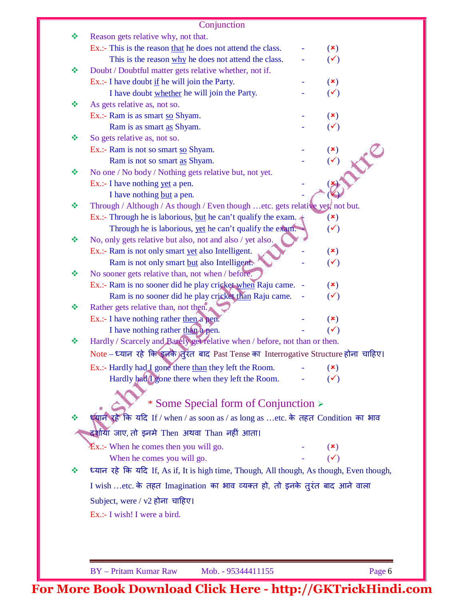|   | Conjunction                                                                                                    |                |
|---|----------------------------------------------------------------------------------------------------------------|----------------|
| ❖ | Reason gets relative why, not that.                                                                            |                |
|   | Ex.:- This is the reason that he does not attend the class.                                                    | (x)            |
|   | This is the reason why he does not attend the class.                                                           | $(\checkmark)$ |
| ❖ | Doubt / Doubtful matter gets relative whether, not if.                                                         |                |
|   | Ex.:- I have doubt if he will join the Party.                                                                  | $(\mathbf{x})$ |
|   | I have doubt whether he will join the Party.                                                                   | $(\checkmark)$ |
| ❖ | As gets relative as, not so.                                                                                   |                |
|   | Ex.:- Ram is as smart so Shyam.                                                                                | $(\mathbf{x})$ |
|   | Ram is as smart as Shyam.                                                                                      | $(\checkmark)$ |
| ❖ | So gets relative as, not so.                                                                                   |                |
|   | Ex.:- Ram is not so smart so Shyam.                                                                            | $(\mathbf{x})$ |
|   | Ram is not so smart as Shyam.                                                                                  | $(\checkmark)$ |
| ❖ | No one / No body / Nothing gets relative but, not yet.                                                         |                |
|   | Ex.:- I have nothing yet a pen.                                                                                |                |
|   | I have nothing but a pen.                                                                                      |                |
| ❖ | Through / Although / As though / Even though etc. gets relative yet, not but.                                  |                |
|   | Ex.:- Through he is laborious, but he can't qualify the exam. $\triangleleft$                                  | $(\mathbf{x})$ |
| ❖ | Through he is laborious, yet he can't qualify the exam.                                                        | $(\checkmark)$ |
|   | No, only gets relative but also, not and also / yet also.<br>Ex.:- Ram is not only smart yet also Intelligent. | $(\mathbf{x})$ |
|   | Ram is not only smart but also Intelligents                                                                    | $(\checkmark)$ |
| ❖ | No sooner gets relative than, not when / before.                                                               |                |
|   | Ex.:- Ram is no sooner did he play cricket when Raju came. -                                                   | $(\mathbf{x})$ |
|   | Ram is no sooner did he play cricket than Raju came.                                                           | $(\checkmark)$ |
| ❖ | Rather gets relative than, not then.                                                                           |                |
|   | $Ex.:$ I have nothing rather then a pen.                                                                       | $(\mathbf{x})$ |
|   | I have nothing rather than a pen.                                                                              | $(\checkmark)$ |
| ❖ | Hardly / Scarcely and Barely get relative when / before, not than or then.                                     |                |
|   | Note – ध्यान रहे कि इनके)तुरंत बाद Past Tense का Interrogative Structure होना चाहिए।                           |                |
|   | Ex.:- Hardly had I gone there than they left the Room.                                                         | (x)            |
|   | Hardly had <i>S</i> one there when they left the Room.                                                         | $(\checkmark)$ |
|   |                                                                                                                |                |
|   | * Some Special form of Conjunction >                                                                           |                |
|   | ध्यान रहें कि यदि If / when / as soon as / as long as etc. के तहत Condition का भाव                             |                |
|   |                                                                                                                |                |
|   | दर्शाया जाए, तो इनमे Then अथवा Than नहीं आता।                                                                  |                |
|   | $Ex.:$ When he comes then you will go.                                                                         | $(\mathbf{x})$ |
|   | When he comes you will go.                                                                                     | $(\checkmark)$ |
|   | ध्यान रहे कि यदि If, As if, It is high time, Though, All though, As though, Even though,                       |                |
|   | I wish etc. के तहत Imagination का भाव व्यक्त हो, तो इनके तुरंत बाद आने वाला                                    |                |
|   | Subject, were / $v2$ होना चाहिए।                                                                               |                |
|   | Ex.:- I wish! I were a bird.                                                                                   |                |
|   |                                                                                                                |                |
|   |                                                                                                                |                |
|   |                                                                                                                |                |
|   |                                                                                                                |                |
|   | <b>BY</b> - Pritam Kumar Raw<br>Mob. - 95344411155                                                             | Page 6         |